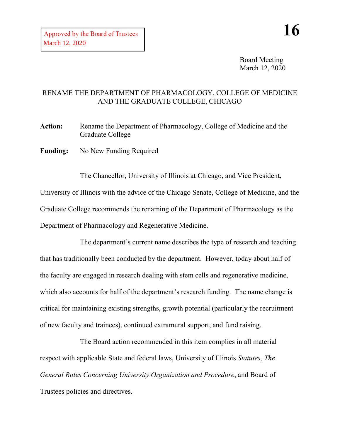Board Meeting March 12, 2020

## RENAME THE DEPARTMENT OF PHARMACOLOGY, COLLEGE OF MEDICINE AND THE GRADUATE COLLEGE, CHICAGO

**Action:** Rename the Department of Pharmacology, College of Medicine and the Graduate College

Funding: No New Funding Required

The Chancellor, University of Illinois at Chicago, and Vice President, University of Illinois with the advice of the Chicago Senate, College of Medicine, and the Graduate College recommends the renaming of the Department of Pharmacology as the Department of Pharmacology and Regenerative Medicine.

The department's current name describes the type of research and teaching that has traditionally been conducted by the department. However, today about half of the faculty are engaged in research dealing with stem cells and regenerative medicine, which also accounts for half of the department's research funding. The name change is critical for maintaining existing strengths, growth potential (particularly the recruitment of new faculty and trainees), continued extramural support, and fund raising.

The Board action recommended in this item complies in all material respect with applicable State and federal laws, University of Illinois *Statutes, The General Rules Concerning University Organization and Procedure*, and Board of Trustees policies and directives.